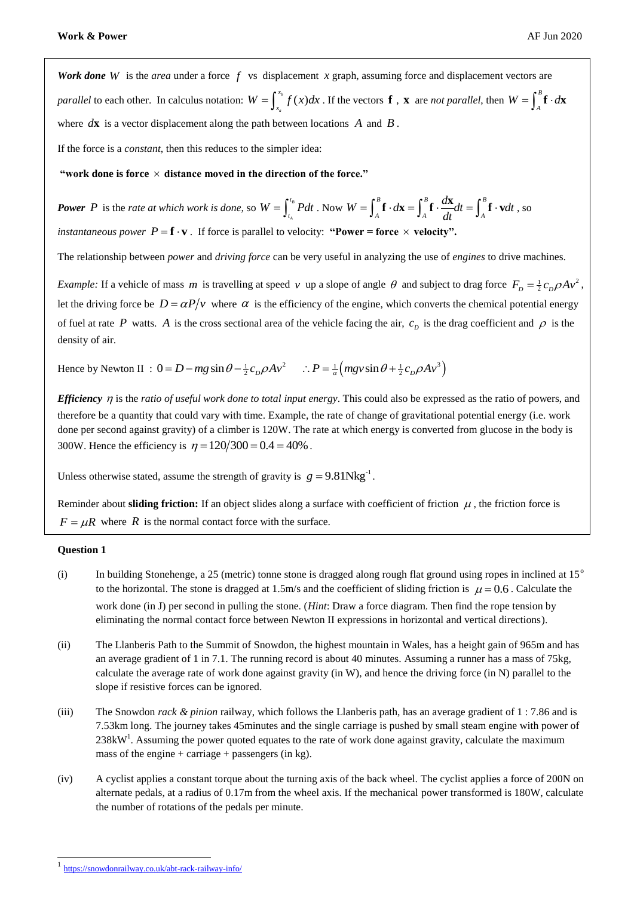Work done W is the *area* under a force  $f$  vs displacement  $x$  graph, assuming force and displacement vectors are *parallel* to each other. In calculus notation:  $W = \int_{x_a}^{x_b} f(x)$ *x*  $W = \int_{x_a}^{x_b} f(x) dx$ . If the vectors **f**, **x** are *not parallel*, then  $W = \int_{A}^{B} f(x) dx$ .  $W = \int_{A}^{B} \mathbf{f} \cdot d\mathbf{x}$ where  $d\mathbf{x}$  is a vector displacement along the path between locations  $A$  and  $B$ .

If the force is a *constant*, then this reduces to the simpler idea:

"work done is force  $\times$  distance moved in the direction of the force."

**Power** P is the *rate at which work is done*, so  $W = \int_{0}^{t_B}$ *A t*  $W = \int_{t_a}^{t_B} P dt$ . Now  $W = \int_A^B \mathbf{f} \cdot d\mathbf{x} = \int_A^B \mathbf{f} \cdot \frac{d\mathbf{x}}{dt} dt = \int_A^B$  $W = \int_A^B \mathbf{f} \cdot d\mathbf{x} = \int_A^B \mathbf{f} \cdot \frac{d\mathbf{x}}{dt} dt = \int_A^B \mathbf{f} \cdot \mathbf{v} dt$ , so *instantaneous power*  $P = \mathbf{f} \cdot \mathbf{v}$ . If force is parallel to velocity: "Power = force  $\times$  velocity".

The relationship between *power* and *driving force* can be very useful in analyzing the use of *engines* to drive machines.

*Example:* If a vehicle of mass *m* is travelling at speed *v* up a slope of angle  $\theta$  and subject to drag force  $F_D = \frac{1}{2}c_D \rho A v^2$ , let the driving force be  $D = \alpha P/v$  where  $\alpha$  is the efficiency of the engine, which converts the chemical potential energy of fuel at rate P watts. A is the cross sectional area of the vehicle facing the air,  $c_p$  is the drag coefficient and  $\rho$  is the density of air.

Hence by Newton II :  $0 = D - mg \sin \theta - \frac{1}{2} c_D \rho A v^2$   $\therefore P = \frac{1}{\alpha} \left( mgy \sin \theta + \frac{1}{2} c_D \rho A v^3 \right)$ 

*Efficiency* η is the *ratio of useful work done to total input energy*. This could also be expressed as the ratio of powers, and therefore be a quantity that could vary with time. Example, the rate of change of gravitational potential energy (i.e. work done per second against gravity) of a climber is 120W. The rate at which energy is converted from glucose in the body is 300W. Hence the efficiency is  $\eta = 120/300 = 0.4 = 40\%$ .

Unless otherwise stated, assume the strength of gravity is  $g = 9.81Nkg^{-1}$ .

Reminder about **sliding friction:** If an object slides along a surface with coefficient of friction  $\mu$ , the friction force is  $F = \mu R$  where R is the normal contact force with the surface.

## **Question 1**

- (i) In building Stonehenge, a 25 (metric) tonne stone is dragged along rough flat ground using ropes in inclined at  $15^\circ$ to the horizontal. The stone is dragged at 1.5m/s and the coefficient of sliding friction is  $\mu = 0.6$ . Calculate the work done (in J) per second in pulling the stone. (*Hint*: Draw a force diagram. Then find the rope tension by eliminating the normal contact force between Newton II expressions in horizontal and vertical directions).
- (ii) The Llanberis Path to the Summit of Snowdon, the highest mountain in Wales, has a height gain of 965m and has an average gradient of 1 in 7.1. The running record is about 40 minutes. Assuming a runner has a mass of 75kg, calculate the average rate of work done against gravity (in W), and hence the driving force (in N) parallel to the slope if resistive forces can be ignored.
- (iii) The Snowdon *rack & pinion* railway, which follows the Llanberis path, has an average gradient of 1 : 7.86 and is 7.53km long. The journey takes 45minutes and the single carriage is pushed by small steam engine with power of  $238 \text{kW}^1$ . Assuming the power quoted equates to the rate of work done against gravity, calculate the maximum mass of the engine + carriage + passengers (in kg).
- (iv) A cyclist applies a constant torque about the turning axis of the back wheel. The cyclist applies a force of 200N on alternate pedals, at a radius of 0.17m from the wheel axis. If the mechanical power transformed is 180W, calculate the number of rotations of the pedals per minute.

<sup>1&</sup>lt;br><https://snowdonrailway.co.uk/abt-rack-railway-info/>